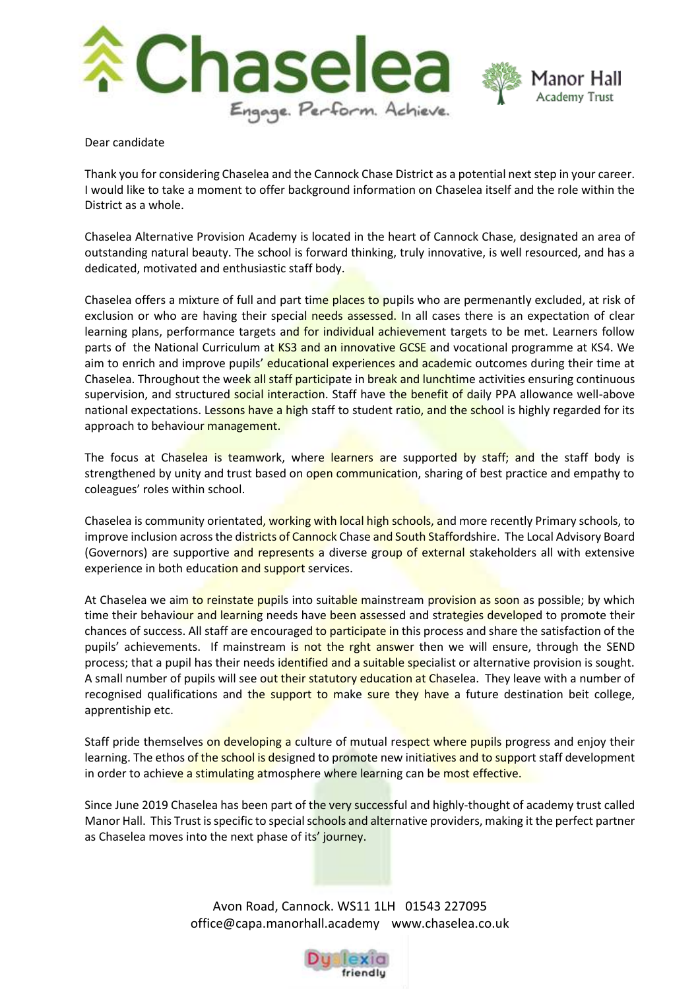

Dear candidate

Thank you for considering Chaselea and the Cannock Chase District as a potential next step in your career. I would like to take a moment to offer background information on Chaselea itself and the role within the District as a whole.

Chaselea Alternative Provision Academy is located in the heart of Cannock Chase, designated an area of outstanding natural beauty. The school is forward thinking, truly innovative, is well resourced, and has a dedicated, motivated and enthusiastic staff body.

Chaselea offers a mixture of full and part time places to pupils who are permenantly excluded, at risk of exclusion or who are having their special needs assessed. In all cases there is an expectation of clear learning plans, performance targets and for individual achievement targets to be met. Learners follow parts of the National Curriculum at KS3 and an innovative GCSE and vocational programme at KS4. We aim to enrich and improve pupils' educational experiences and academic outcomes during their time at Chaselea. Throughout the week all staff participate in break and lunchtime activities ensuring continuous supervision, and structured social interaction. Staff have the benefit of daily PPA allowance well-above national expectations. Lessons have a high staff to student ratio, and the school is highly regarded for its approach to behaviour management.

The focus at Chaselea is teamwork, where learners are supported by staff; and the staff body is strengthened by unity and trust based on open communication, sharing of best practice and empathy to coleagues' roles within school.

Chaselea is community orientated, working with local high schools, and more recently Primary schools, to improve inclusion across the districts of Cannock Chase and South Staffordshire. The Local Advisory Board (Governors) are supportive and represents a diverse group of external stakeholders all with extensive experience in both education and support services.

At Chaselea we aim to reinstate pupils into suitable mainstream provision as soon as possible; by which time their behaviour and learning needs have been assessed and strategies developed to promote their chances of success. All staff are encouraged to participate in this process and share the satisfaction of the pupils' achievements. If mainstream is not the rght answer then we will ensure, through the SEND process; that a pupil has their needs identified and a suitable specialist or alternative provision is sought. A small number of pupils will see out their statutory education at Chaselea. They leave with a number of recognised qualifications and the support to make sure they have a future destination beit college, apprentiship etc.

Staff pride themselves on developing a culture of mutual respect where pupils progress and enjoy their learning. The ethos of the school is designed to promote new initiatives and to support staff development in order to achieve a stimulating atmosphere where learning can be most effective.

Since June 2019 Chaselea has been part of the very successful and highly-thought of academy trust called Manor Hall. This Trust is specific to special schools and alternative providers, making it the perfect partner as Chaselea moves into the next phase of its' journey.

> Avon Road, Cannock. WS11 1LH 01543 227095 office@capa.manorhall.academy www.chaselea.co.uk